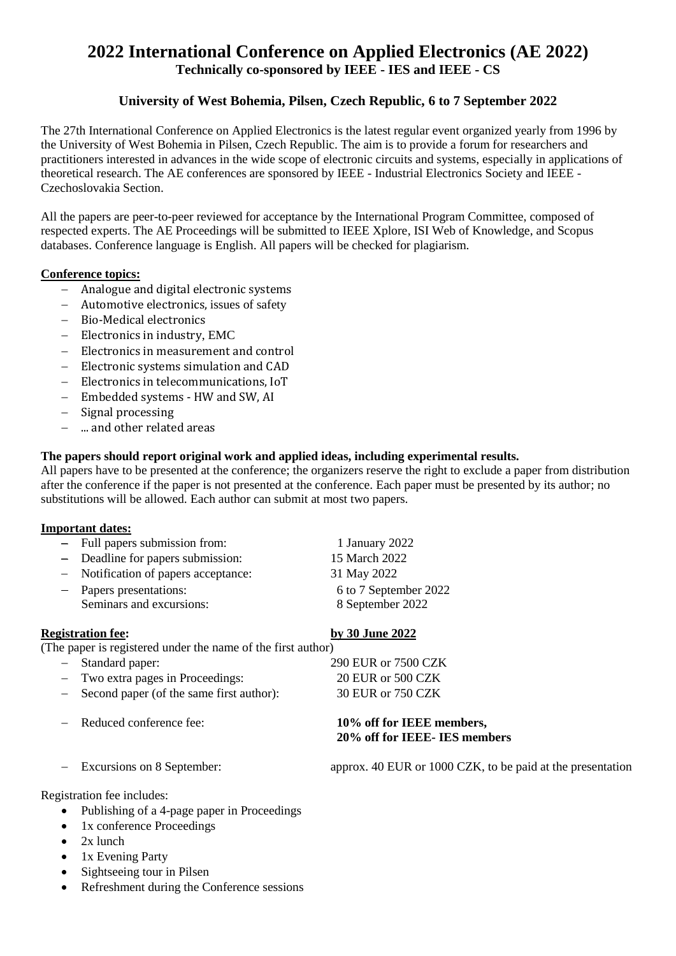# **2022 International Conference on Applied Electronics (AE 2022) Technically co-sponsored by IEEE - IES and IEEE - CS**

## **University of West Bohemia, Pilsen, Czech Republic, 6 to 7 September 2022**

The 27th International Conference on Applied Electronics is the latest regular event organized yearly from 1996 by the University of West Bohemia in Pilsen, Czech Republic. The aim is to provide a forum for researchers and practitioners interested in advances in the wide scope of electronic circuits and systems, especially in applications of theoretical research. The AE conferences are sponsored by IEEE - Industrial Electronics Society and IEEE - Czechoslovakia Section.

All the papers are peer-to-peer reviewed for acceptance by the International Program Committee, composed of respected experts. The AE Proceedings will be submitted to IEEE Xplore, ISI Web of Knowledge, and Scopus databases. Conference language is English. All papers will be checked for plagiarism.

#### **Conference topics:**

- Analogue and digital electronic systems
- Automotive electronics, issues of safety
- Bio-Medical electronics
- Electronics in industry, EMC
- Electronics in measurement and control
- Electronic systems simulation and CAD
- Electronics in telecommunications, IoT
- Embedded systems HW and SW, AI
- Signal processing
- ... and other related areas

### **The papers should report original work and applied ideas, including experimental results.**

All papers have to be presented at the conference; the organizers reserve the right to exclude a paper from distribution after the conference if the paper is not presented at the conference. Each paper must be presented by its author; no substitutions will be allowed. Each author can submit at most two papers.

#### **Important dates:**

|                                                              | - Full papers submission from:             | 1 January 2022        |  |
|--------------------------------------------------------------|--------------------------------------------|-----------------------|--|
|                                                              | - Deadline for papers submission:          | 15 March 2022         |  |
|                                                              | - Notification of papers acceptance:       | 31 May 2022           |  |
|                                                              | - Papers presentations:                    | 6 to 7 September 2022 |  |
|                                                              | Seminars and excursions:                   | 8 September 2022      |  |
|                                                              |                                            |                       |  |
| <b>Registration fee:</b>                                     |                                            | by 30 June 2022       |  |
| (The paper is registered under the name of the first author) |                                            |                       |  |
|                                                              | - Standard paper:                          | 290 EUR or 7500 CZK   |  |
|                                                              | - Two extra pages in Proceedings:          | 20 EUR or 500 CZK     |  |
|                                                              | - Second paper (of the same first author): | 30 EUR or 750 CZK     |  |

#### Reduced conference fee: **10% off for IEEE members, 20% off for IEEE- IES members**

Excursions on 8 September: approx. 40 EUR or 1000 CZK, to be paid at the presentation

Registration fee includes:

- Publishing of a 4-page paper in Proceedings
- 1x conference Proceedings
- $\bullet$  2x lunch
- $\bullet$  1x Evening Party
- Sightseeing tour in Pilsen
- Refreshment during the Conference sessions